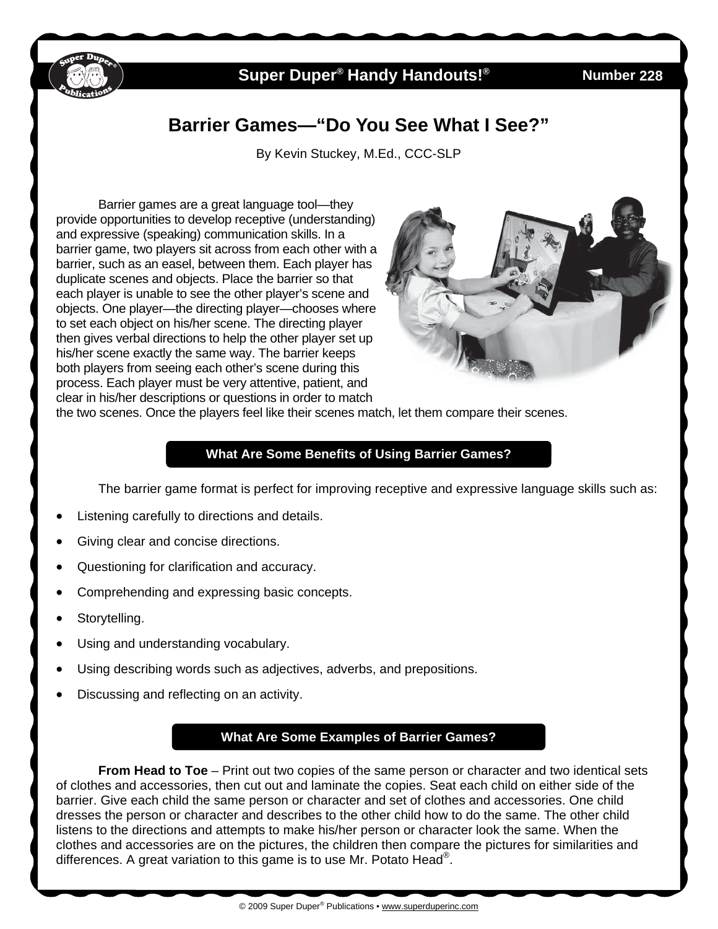

## **Super Duper<sup>®</sup> Handy Handouts!<sup>®</sup>**

**228** 

# **Barrier Games—"Do You See What I See?"**

By Kevin Stuckey, M.Ed., CCC-SLP

 Barrier games are a great language tool—they provide opportunities to develop receptive (understanding) and expressive (speaking) communication skills. In a barrier game, two players sit across from each other with a barrier, such as an easel, between them. Each player has duplicate scenes and objects. Place the barrier so that each player is unable to see the other player's scene and objects. One player—the directing player—chooses where to set each object on his/her scene. The directing player then gives verbal directions to help the other player set up his/her scene exactly the same way. The barrier keeps both players from seeing each other's scene during this process. Each player must be very attentive, patient, and clear in his/her descriptions or questions in order to match



the two scenes. Once the players feel like their scenes match, let them compare their scenes.

#### **What Are Some Benefits of Using Barrier Games?**

The barrier game format is perfect for improving receptive and expressive language skills such as:

- Listening carefully to directions and details.
- Giving clear and concise directions.
- Questioning for clarification and accuracy.
- Comprehending and expressing basic concepts.
- Storytelling.
- Using and understanding vocabulary.
- Using describing words such as adjectives, adverbs, and prepositions.
- Discussing and reflecting on an activity.

### **What Are Some Examples of Barrier Games?**

**From Head to Toe** – Print out two copies of the same person or character and two identical sets of clothes and accessories, then cut out and laminate the copies. Seat each child on either side of the barrier. Give each child the same person or character and set of clothes and accessories. One child dresses the person or character and describes to the other child how to do the same. The other child listens to the directions and attempts to make his/her person or character look the same. When the clothes and accessories are on the pictures, the children then compare the pictures for similarities and differences. A great variation to this game is to use Mr. Potato Head<sup>®</sup>.